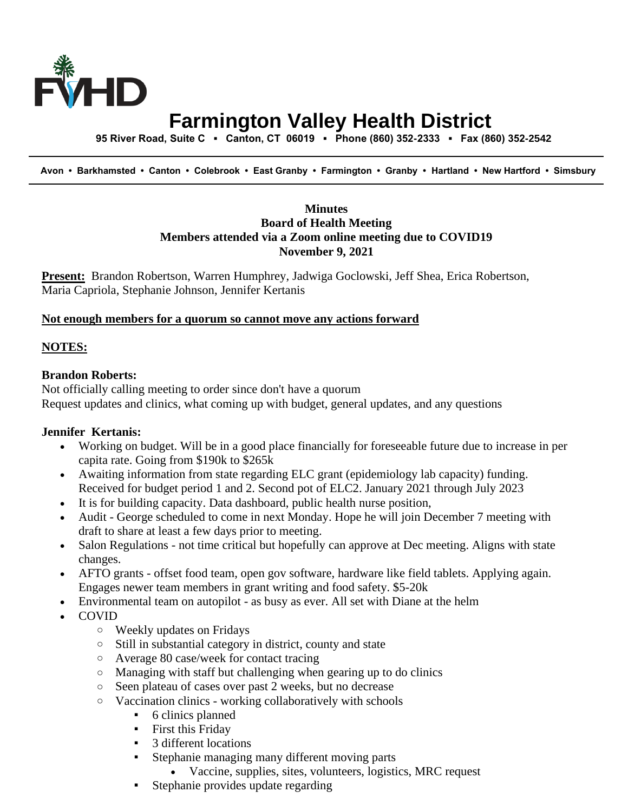

# **Farmington Valley Health District**

 **95 River Road, Suite C ▪ Canton, CT 06019 ▪ Phone (860) 352-2333 ▪ Fax (860) 352-2542**

 **Avon • Barkhamsted • Canton • Colebrook • East Granby • Farmington • Granby • Hartland • New Hartford • Simsbury**

# **Minutes Board of Health Meeting Members attended via a Zoom online meeting due to COVID19 November 9, 2021**

**Present:** Brandon Robertson, Warren Humphrey, Jadwiga Goclowski, Jeff Shea, Erica Robertson, Maria Capriola, Stephanie Johnson, Jennifer Kertanis

#### **Not enough members for a quorum so cannot move any actions forward**

#### **NOTES:**

## **Brandon Roberts:**

Not officially calling meeting to order since don't have a quorum Request updates and clinics, what coming up with budget, general updates, and any questions

## **Jennifer Kertanis:**

- Working on budget. Will be in a good place financially for foreseeable future due to increase in per capita rate. Going from \$190k to \$265k
- Awaiting information from state regarding ELC grant (epidemiology lab capacity) funding. Received for budget period 1 and 2. Second pot of ELC2. January 2021 through July 2023
- It is for building capacity. Data dashboard, public health nurse position,
- Audit George scheduled to come in next Monday. Hope he will join December 7 meeting with draft to share at least a few days prior to meeting.
- Salon Regulations not time critical but hopefully can approve at Dec meeting. Aligns with state changes.
- AFTO grants offset food team, open gov software, hardware like field tablets. Applying again. Engages newer team members in grant writing and food safety. \$5-20k
- Environmental team on autopilot as busy as ever. All set with Diane at the helm
- COVID
	- o Weekly updates on Fridays
	- o Still in substantial category in district, county and state
	- o Average 80 case/week for contact tracing
	- o Managing with staff but challenging when gearing up to do clinics
	- o Seen plateau of cases over past 2 weeks, but no decrease
	- o Vaccination clinics working collaboratively with schools
		- 6 clinics planned
		- **•** First this Friday
		- 3 different locations
		- **Example 1** Stephanie managing many different moving parts
			- Vaccine, supplies, sites, volunteers, logistics, MRC request
		- Stephanie provides update regarding